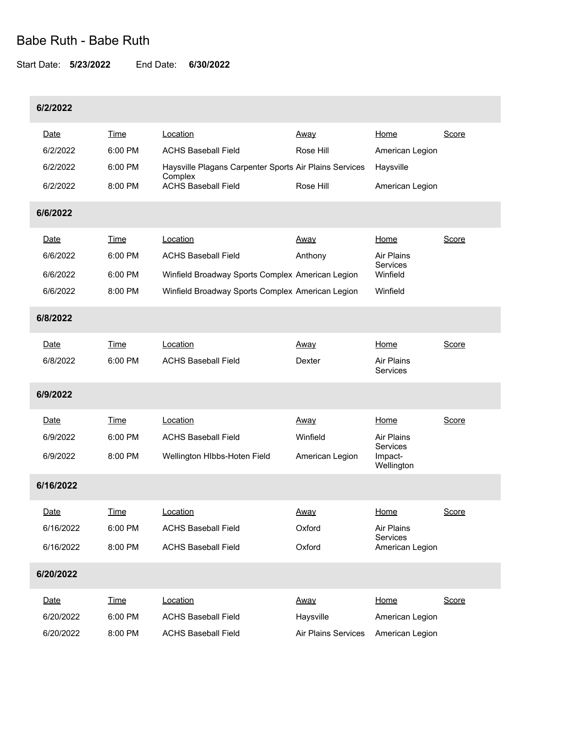# Babe Ruth - Babe Ruth

### Start Date: **5/23/2022** End Date: **6/30/2022**

## **6/2/2022**

|           | Date        | <b>Time</b> | Location                                                          | <u>Away</u>         | Home                              | Score        |  |
|-----------|-------------|-------------|-------------------------------------------------------------------|---------------------|-----------------------------------|--------------|--|
|           | 6/2/2022    | 6:00 PM     | <b>ACHS Baseball Field</b>                                        | Rose Hill           | American Legion                   |              |  |
|           | 6/2/2022    | 6:00 PM     | Haysville Plagans Carpenter Sports Air Plains Services<br>Complex |                     | Haysville                         |              |  |
|           | 6/2/2022    | 8:00 PM     | <b>ACHS Baseball Field</b>                                        | Rose Hill           | American Legion                   |              |  |
| 6/6/2022  |             |             |                                                                   |                     |                                   |              |  |
|           | Date        | Time        | Location                                                          | <u>Away</u>         | Home                              | Score        |  |
|           | 6/6/2022    | 6:00 PM     | <b>ACHS Baseball Field</b>                                        | Anthony             | Air Plains                        |              |  |
|           | 6/6/2022    | 6:00 PM     | Winfield Broadway Sports Complex American Legion                  |                     | Services<br>Winfield              |              |  |
|           | 6/6/2022    | 8:00 PM     | Winfield Broadway Sports Complex American Legion                  |                     | Winfield                          |              |  |
| 6/8/2022  |             |             |                                                                   |                     |                                   |              |  |
|           | Date        | Time        | Location                                                          | Away                | Home                              | <b>Score</b> |  |
|           | 6/8/2022    | 6:00 PM     | <b>ACHS Baseball Field</b>                                        | Dexter              | Air Plains<br><b>Services</b>     |              |  |
| 6/9/2022  |             |             |                                                                   |                     |                                   |              |  |
|           | Date        | Time        | Location                                                          | <u>Away</u>         | <b>Home</b>                       | Score        |  |
|           | 6/9/2022    | 6:00 PM     | <b>ACHS Baseball Field</b>                                        | Winfield            | Air Plains                        |              |  |
|           | 6/9/2022    | 8:00 PM     | Wellington HIbbs-Hoten Field                                      | American Legion     | Services<br>Impact-<br>Wellington |              |  |
|           | 6/16/2022   |             |                                                                   |                     |                                   |              |  |
|           | Date        | Time        | Location                                                          | <u>Away</u>         | Home                              | Score        |  |
|           | 6/16/2022   | 6:00 PM     | <b>ACHS Baseball Field</b>                                        | Oxford              | Air Plains                        |              |  |
|           | 6/16/2022   | 8:00 PM     | <b>ACHS Baseball Field</b>                                        | Oxford              | Services<br>American Legion       |              |  |
| 6/20/2022 |             |             |                                                                   |                     |                                   |              |  |
|           | <u>Date</u> | <b>Time</b> | Location                                                          | Away                | Home                              | Score        |  |
|           | 6/20/2022   | 6:00 PM     | <b>ACHS Baseball Field</b>                                        | Haysville           | American Legion                   |              |  |
|           | 6/20/2022   | 8:00 PM     | <b>ACHS Baseball Field</b>                                        | Air Plains Services | American Legion                   |              |  |